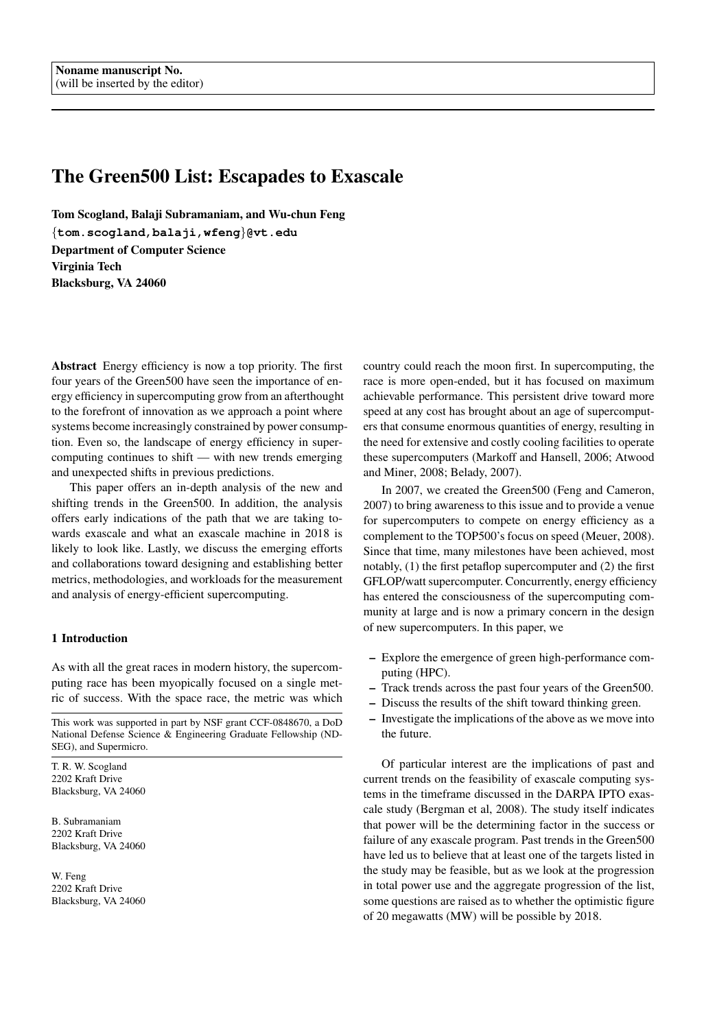# The Green500 List: Escapades to Exascale

Tom Scogland, Balaji Subramaniam, and Wu-chun Feng {**tom.scogland,balaji,wfeng**}**@vt.edu** Department of Computer Science Virginia Tech Blacksburg, VA 24060

Abstract Energy efficiency is now a top priority. The first four years of the Green500 have seen the importance of energy efficiency in supercomputing grow from an afterthought to the forefront of innovation as we approach a point where systems become increasingly constrained by power consumption. Even so, the landscape of energy efficiency in supercomputing continues to shift — with new trends emerging and unexpected shifts in previous predictions.

This paper offers an in-depth analysis of the new and shifting trends in the Green500. In addition, the analysis offers early indications of the path that we are taking towards exascale and what an exascale machine in 2018 is likely to look like. Lastly, we discuss the emerging efforts and collaborations toward designing and establishing better metrics, methodologies, and workloads for the measurement and analysis of energy-efficient supercomputing.

# 1 Introduction

As with all the great races in modern history, the supercomputing race has been myopically focused on a single metric of success. With the space race, the metric was which

This work was supported in part by NSF grant CCF-0848670, a DoD National Defense Science & Engineering Graduate Fellowship (ND-SEG), and Supermicro.

T. R. W. Scogland 2202 Kraft Drive Blacksburg, VA 24060

B. Subramaniam 2202 Kraft Drive Blacksburg, VA 24060

W. Feng 2202 Kraft Drive Blacksburg, VA 24060 country could reach the moon first. In supercomputing, the race is more open-ended, but it has focused on maximum achievable performance. This persistent drive toward more speed at any cost has brought about an age of supercomputers that consume enormous quantities of energy, resulting in the need for extensive and costly cooling facilities to operate these supercomputers (Markoff and Hansell, 2006; Atwood and Miner, 2008; Belady, 2007).

In 2007, we created the Green500 (Feng and Cameron, 2007) to bring awareness to this issue and to provide a venue for supercomputers to compete on energy efficiency as a complement to the TOP500's focus on speed (Meuer, 2008). Since that time, many milestones have been achieved, most notably, (1) the first petaflop supercomputer and (2) the first GFLOP/watt supercomputer. Concurrently, energy efficiency has entered the consciousness of the supercomputing community at large and is now a primary concern in the design of new supercomputers. In this paper, we

- Explore the emergence of green high-performance computing (HPC).
- Track trends across the past four years of the Green500.
- Discuss the results of the shift toward thinking green.
- Investigate the implications of the above as we move into the future.

Of particular interest are the implications of past and current trends on the feasibility of exascale computing systems in the timeframe discussed in the DARPA IPTO exascale study (Bergman et al, 2008). The study itself indicates that power will be the determining factor in the success or failure of any exascale program. Past trends in the Green500 have led us to believe that at least one of the targets listed in the study may be feasible, but as we look at the progression in total power use and the aggregate progression of the list, some questions are raised as to whether the optimistic figure of 20 megawatts (MW) will be possible by 2018.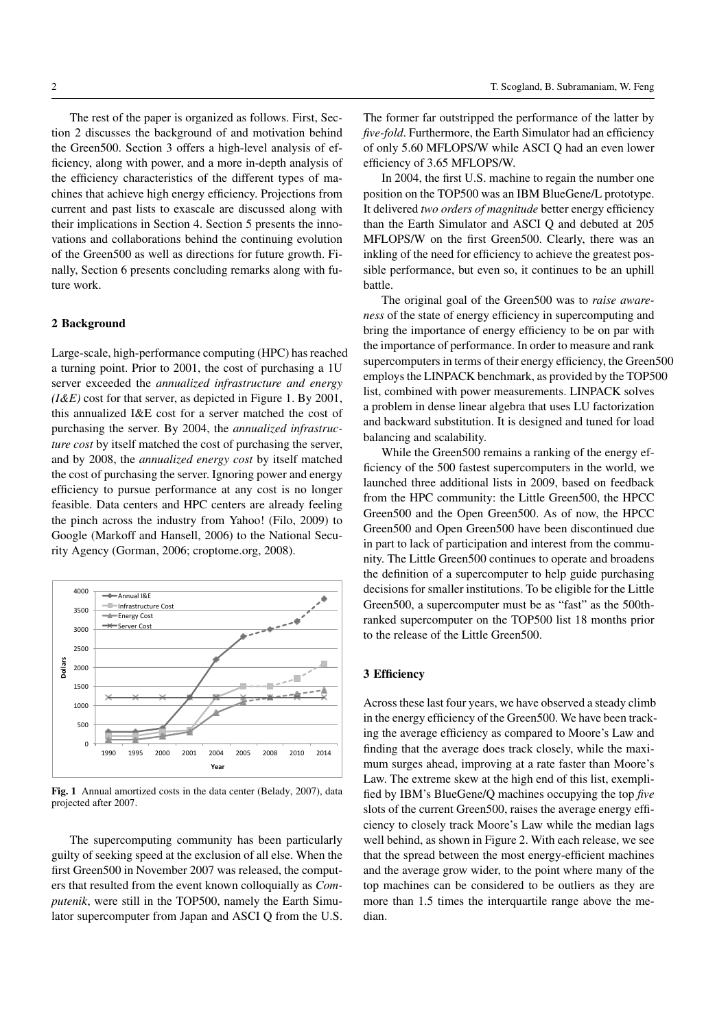The rest of the paper is organized as follows. First, Section 2 discusses the background of and motivation behind the Green500. Section 3 offers a high-level analysis of efficiency, along with power, and a more in-depth analysis of the efficiency characteristics of the different types of machines that achieve high energy efficiency. Projections from current and past lists to exascale are discussed along with their implications in Section 4. Section 5 presents the innovations and collaborations behind the continuing evolution of the Green500 as well as directions for future growth. Finally, Section 6 presents concluding remarks along with future work.

## 2 Background

Large-scale, high-performance computing (HPC) has reached a turning point. Prior to 2001, the cost of purchasing a 1U server exceeded the *annualized infrastructure and energy (I&E)* cost for that server, as depicted in Figure 1. By 2001, this annualized I&E cost for a server matched the cost of purchasing the server. By 2004, the *annualized infrastructure cost* by itself matched the cost of purchasing the server, and by 2008, the *annualized energy cost* by itself matched the cost of purchasing the server. Ignoring power and energy efficiency to pursue performance at any cost is no longer feasible. Data centers and HPC centers are already feeling the pinch across the industry from Yahoo! (Filo, 2009) to Google (Markoff and Hansell, 2006) to the National Security Agency (Gorman, 2006; croptome.org, 2008).



Fig. 1 Annual amortized costs in the data center (Belady, 2007), data projected after 2007.

The supercomputing community has been particularly guilty of seeking speed at the exclusion of all else. When the first Green500 in November 2007 was released, the computers that resulted from the event known colloquially as *Computenik*, were still in the TOP500, namely the Earth Simulator supercomputer from Japan and ASCI Q from the U.S.

The former far outstripped the performance of the latter by *five-fold*. Furthermore, the Earth Simulator had an efficiency of only 5.60 MFLOPS/W while ASCI Q had an even lower efficiency of 3.65 MFLOPS/W.

In 2004, the first U.S. machine to regain the number one position on the TOP500 was an IBM BlueGene/L prototype. It delivered *two orders of magnitude* better energy efficiency than the Earth Simulator and ASCI Q and debuted at 205 MFLOPS/W on the first Green500. Clearly, there was an inkling of the need for efficiency to achieve the greatest possible performance, but even so, it continues to be an uphill battle.

The original goal of the Green500 was to *raise awareness* of the state of energy efficiency in supercomputing and bring the importance of energy efficiency to be on par with the importance of performance. In order to measure and rank supercomputers in terms of their energy efficiency, the Green500 employs the LINPACK benchmark, as provided by the TOP500 list, combined with power measurements. LINPACK solves a problem in dense linear algebra that uses LU factorization and backward substitution. It is designed and tuned for load balancing and scalability.

While the Green500 remains a ranking of the energy efficiency of the 500 fastest supercomputers in the world, we launched three additional lists in 2009, based on feedback from the HPC community: the Little Green500, the HPCC Green500 and the Open Green500. As of now, the HPCC Green500 and Open Green500 have been discontinued due in part to lack of participation and interest from the community. The Little Green500 continues to operate and broadens the definition of a supercomputer to help guide purchasing decisions for smaller institutions. To be eligible for the Little Green500, a supercomputer must be as "fast" as the 500thranked supercomputer on the TOP500 list 18 months prior to the release of the Little Green500.

## 3 Efficiency

Across these last four years, we have observed a steady climb in the energy efficiency of the Green500. We have been tracking the average efficiency as compared to Moore's Law and finding that the average does track closely, while the maximum surges ahead, improving at a rate faster than Moore's Law. The extreme skew at the high end of this list, exemplified by IBM's BlueGene/Q machines occupying the top *five* slots of the current Green500, raises the average energy efficiency to closely track Moore's Law while the median lags well behind, as shown in Figure 2. With each release, we see that the spread between the most energy-efficient machines and the average grow wider, to the point where many of the top machines can be considered to be outliers as they are more than 1.5 times the interquartile range above the median.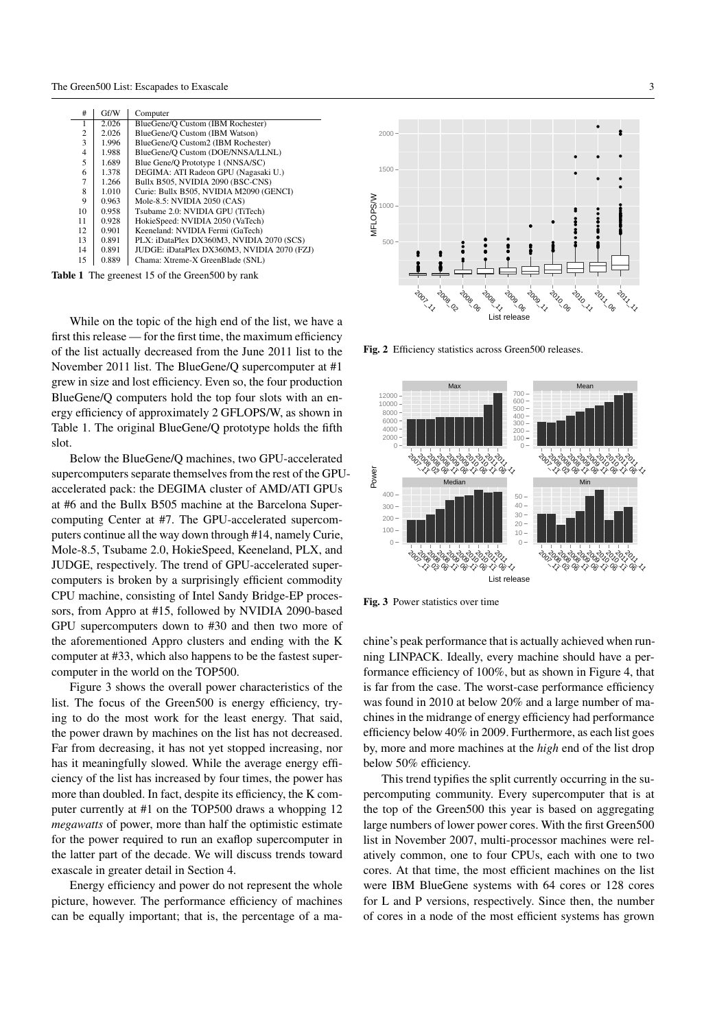| #              | Gf/W  | Computer                                    |
|----------------|-------|---------------------------------------------|
|                | 2.026 | BlueGene/O Custom (IBM Rochester)           |
| $\overline{c}$ | 2.026 | BlueGene/O Custom (IBM Watson)              |
| 3              | 1.996 | BlueGene/O Custom2 (IBM Rochester)          |
| 4              | 1.988 | BlueGene/O Custom (DOE/NNSA/LLNL)           |
| 5              | 1.689 | Blue Gene/O Prototype 1 (NNSA/SC)           |
| 6              | 1.378 | DEGIMA: ATI Radeon GPU (Nagasaki U.)        |
|                | 1.266 | Bullx B505, NVIDIA 2090 (BSC-CNS)           |
| 8              | 1.010 | Curie: Bullx B505, NVIDIA M2090 (GENCI)     |
| 9              | 0.963 | Mole-8.5: NVIDIA 2050 (CAS)                 |
| 10             | 0.958 | Tsubame 2.0: NVIDIA GPU (TiTech)            |
| 11             | 0.928 | HokieSpeed: NVIDIA 2050 (VaTech)            |
| 12             | 0.901 | Keeneland: NVIDIA Fermi (GaTech)            |
| 13             | 0.891 | PLX: iDataPlex DX360M3. NVIDIA 2070 (SCS)   |
| 14             | 0.891 | JUDGE: iDataPlex DX360M3, NVIDIA 2070 (FZJ) |
| 15             | 0.889 | Chama: Xtreme-X GreenBlade (SNL)            |

Table 1 The greenest 15 of the Green500 by rank

While on the topic of the high end of the list, we have a first this release — for the first time, the maximum efficiency of the list actually decreased from the June 2011 list to the November 2011 list. The BlueGene/Q supercomputer at #1 grew in size and lost efficiency. Even so, the four production BlueGene/Q computers hold the top four slots with an energy efficiency of approximately 2 GFLOPS/W, as shown in Table 1. The original BlueGene/Q prototype holds the fifth slot.

Below the BlueGene/Q machines, two GPU-accelerated supercomputers separate themselves from the rest of the GPUaccelerated pack: the DEGIMA cluster of AMD/ATI GPUs at #6 and the Bullx B505 machine at the Barcelona Supercomputing Center at #7. The GPU-accelerated supercomputers continue all the way down through #14, namely Curie, Mole-8.5, Tsubame 2.0, HokieSpeed, Keeneland, PLX, and JUDGE, respectively. The trend of GPU-accelerated supercomputers is broken by a surprisingly efficient commodity CPU machine, consisting of Intel Sandy Bridge-EP processors, from Appro at #15, followed by NVIDIA 2090-based GPU supercomputers down to #30 and then two more of the aforementioned Appro clusters and ending with the K computer at #33, which also happens to be the fastest supercomputer in the world on the TOP500.

Figure 3 shows the overall power characteristics of the list. The focus of the Green500 is energy efficiency, trying to do the most work for the least energy. That said, the power drawn by machines on the list has not decreased. Far from decreasing, it has not yet stopped increasing, nor has it meaningfully slowed. While the average energy efficiency of the list has increased by four times, the power has more than doubled. In fact, despite its efficiency, the K computer currently at #1 on the TOP500 draws a whopping 12 *megawatts* of power, more than half the optimistic estimate for the power required to run an exaflop supercomputer in the latter part of the decade. We will discuss trends toward exascale in greater detail in Section 4.

Energy efficiency and power do not represent the whole picture, however. The performance efficiency of machines can be equally important; that is, the percentage of a ma-



Fig. 2 Efficiency statistics across Green500 releases.



Fig. 3 Power statistics over time

chine's peak performance that is actually achieved when running LINPACK. Ideally, every machine should have a performance efficiency of 100%, but as shown in Figure 4, that is far from the case. The worst-case performance efficiency was found in 2010 at below 20% and a large number of machines in the midrange of energy efficiency had performance efficiency below 40% in 2009. Furthermore, as each list goes by, more and more machines at the *high* end of the list drop below 50% efficiency.

This trend typifies the split currently occurring in the supercomputing community. Every supercomputer that is at the top of the Green500 this year is based on aggregating large numbers of lower power cores. With the first Green500 list in November 2007, multi-processor machines were relatively common, one to four CPUs, each with one to two cores. At that time, the most efficient machines on the list were IBM BlueGene systems with 64 cores or 128 cores for L and P versions, respectively. Since then, the number of cores in a node of the most efficient systems has grown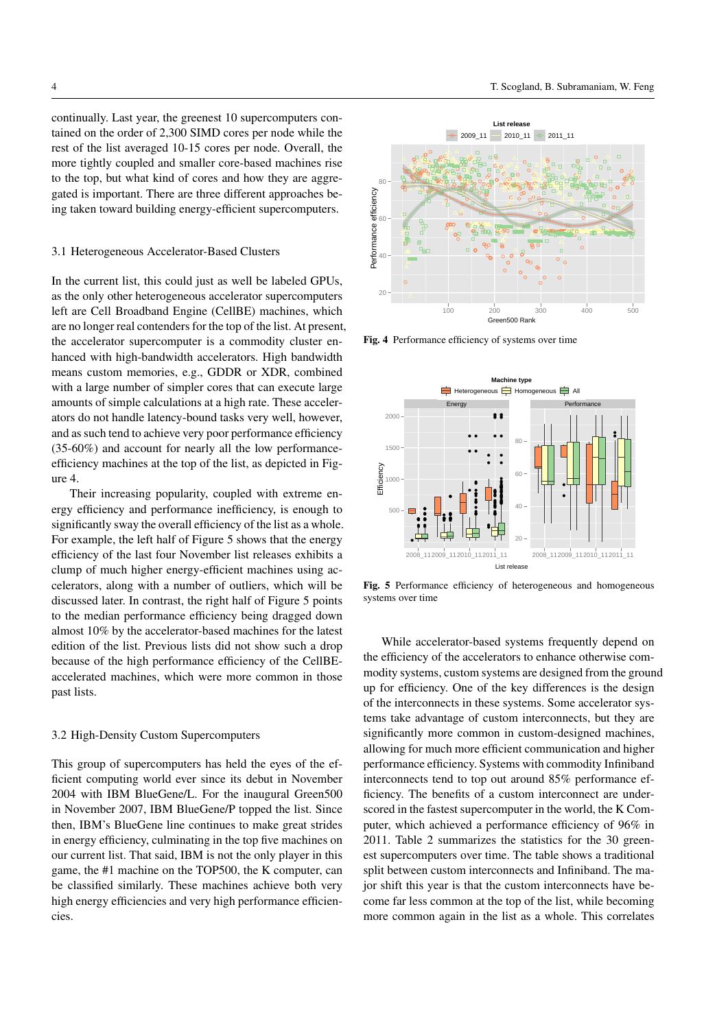continually. Last year, the greenest 10 supercomputers contained on the order of 2,300 SIMD cores per node while the rest of the list averaged 10-15 cores per node. Overall, the more tightly coupled and smaller core-based machines rise to the top, but what kind of cores and how they are aggregated is important. There are three different approaches being taken toward building energy-efficient supercomputers.

#### 3.1 Heterogeneous Accelerator-Based Clusters

In the current list, this could just as well be labeled GPUs, as the only other heterogeneous accelerator supercomputers left are Cell Broadband Engine (CellBE) machines, which are no longer real contenders for the top of the list. At present, the accelerator supercomputer is a commodity cluster enhanced with high-bandwidth accelerators. High bandwidth means custom memories, e.g., GDDR or XDR, combined with a large number of simpler cores that can execute large amounts of simple calculations at a high rate. These accelerators do not handle latency-bound tasks very well, however, and as such tend to achieve very poor performance efficiency (35-60%) and account for nearly all the low performanceefficiency machines at the top of the list, as depicted in Figure 4.

Their increasing popularity, coupled with extreme energy efficiency and performance inefficiency, is enough to significantly sway the overall efficiency of the list as a whole. For example, the left half of Figure 5 shows that the energy efficiency of the last four November list releases exhibits a clump of much higher energy-efficient machines using accelerators, along with a number of outliers, which will be discussed later. In contrast, the right half of Figure 5 points to the median performance efficiency being dragged down almost 10% by the accelerator-based machines for the latest edition of the list. Previous lists did not show such a drop because of the high performance efficiency of the CellBEaccelerated machines, which were more common in those past lists.

## 3.2 High-Density Custom Supercomputers

This group of supercomputers has held the eyes of the efficient computing world ever since its debut in November 2004 with IBM BlueGene/L. For the inaugural Green500 in November 2007, IBM BlueGene/P topped the list. Since then, IBM's BlueGene line continues to make great strides in energy efficiency, culminating in the top five machines on our current list. That said, IBM is not the only player in this game, the #1 machine on the TOP500, the K computer, can be classified similarly. These machines achieve both very high energy efficiencies and very high performance efficiencies.



Fig. 4 Performance efficiency of systems over time



Fig. 5 Performance efficiency of heterogeneous and homogeneous systems over time

While accelerator-based systems frequently depend on the efficiency of the accelerators to enhance otherwise commodity systems, custom systems are designed from the ground up for efficiency. One of the key differences is the design of the interconnects in these systems. Some accelerator systems take advantage of custom interconnects, but they are significantly more common in custom-designed machines, allowing for much more efficient communication and higher performance efficiency. Systems with commodity Infiniband interconnects tend to top out around 85% performance efficiency. The benefits of a custom interconnect are underscored in the fastest supercomputer in the world, the K Computer, which achieved a performance efficiency of 96% in 2011. Table 2 summarizes the statistics for the 30 greenest supercomputers over time. The table shows a traditional split between custom interconnects and Infiniband. The major shift this year is that the custom interconnects have become far less common at the top of the list, while becoming more common again in the list as a whole. This correlates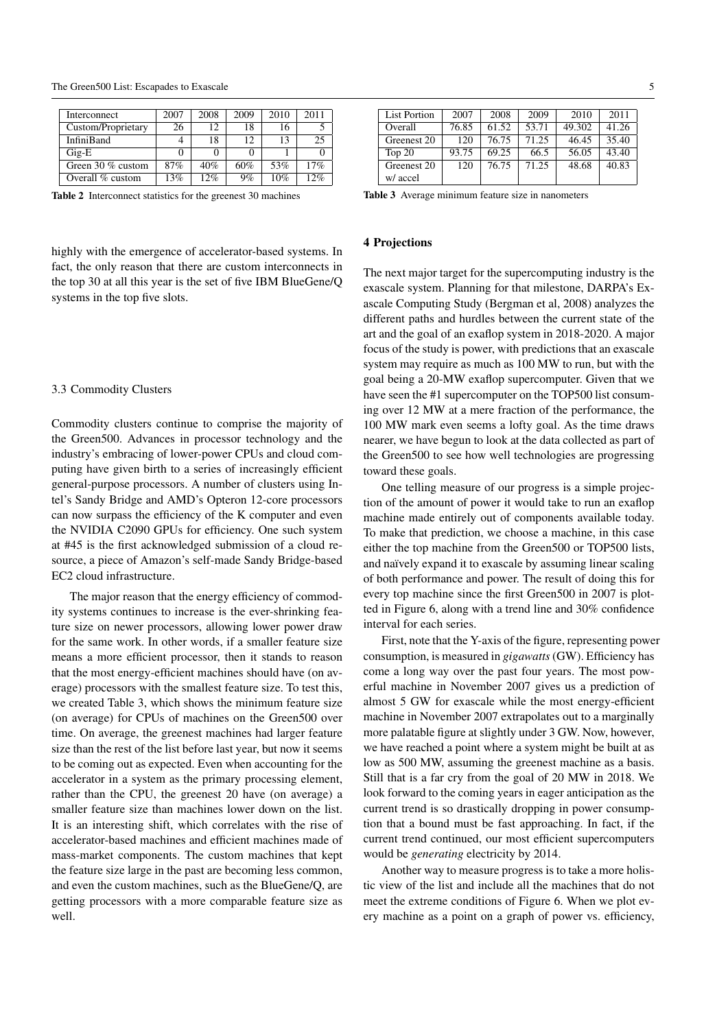| Interconnect       | 2007 | 2008 | 2009 | 2010 | 2011 |
|--------------------|------|------|------|------|------|
| Custom/Proprietary | 26   | 12   | 18   | 16   |      |
| <b>InfiniBand</b>  |      | 18   | 12   | 13   | 25   |
| $\rm{Gig-E}$       |      |      |      |      |      |
| Green 30 % custom  | 87%  | 40%  | 60%  | 53%  | 17%  |
| Overall % custom   | 13%  | 12%  | 9%   | 10%  | 12%  |

Table 2 Interconnect statistics for the greenest 30 machines

highly with the emergence of accelerator-based systems. In fact, the only reason that there are custom interconnects in the top 30 at all this year is the set of five IBM BlueGene/Q systems in the top five slots.

#### 3.3 Commodity Clusters

Commodity clusters continue to comprise the majority of the Green500. Advances in processor technology and the industry's embracing of lower-power CPUs and cloud computing have given birth to a series of increasingly efficient general-purpose processors. A number of clusters using Intel's Sandy Bridge and AMD's Opteron 12-core processors can now surpass the efficiency of the K computer and even the NVIDIA C2090 GPUs for efficiency. One such system at #45 is the first acknowledged submission of a cloud resource, a piece of Amazon's self-made Sandy Bridge-based EC2 cloud infrastructure.

The major reason that the energy efficiency of commodity systems continues to increase is the ever-shrinking feature size on newer processors, allowing lower power draw for the same work. In other words, if a smaller feature size means a more efficient processor, then it stands to reason that the most energy-efficient machines should have (on average) processors with the smallest feature size. To test this, we created Table 3, which shows the minimum feature size (on average) for CPUs of machines on the Green500 over time. On average, the greenest machines had larger feature size than the rest of the list before last year, but now it seems to be coming out as expected. Even when accounting for the accelerator in a system as the primary processing element, rather than the CPU, the greenest 20 have (on average) a smaller feature size than machines lower down on the list. It is an interesting shift, which correlates with the rise of accelerator-based machines and efficient machines made of mass-market components. The custom machines that kept the feature size large in the past are becoming less common, and even the custom machines, such as the BlueGene/Q, are getting processors with a more comparable feature size as well.

| <b>List Portion</b> | 2007  | 2008  | 2009  | 2010   | 2011  |
|---------------------|-------|-------|-------|--------|-------|
| Overall             | 76.85 | 61.52 | 53.71 | 49.302 | 41.26 |
| Greenest 20         | 120   | 76.75 | 71.25 | 46.45  | 35.40 |
| Top $20$            | 93.75 | 69.25 | 66.5  | 56.05  | 43.40 |
| Greenest 20         | 120   | 76.75 | 71.25 | 48.68  | 40.83 |
| w/ accel            |       |       |       |        |       |

Table 3 Average minimum feature size in nanometers

#### 4 Projections

The next major target for the supercomputing industry is the exascale system. Planning for that milestone, DARPA's Exascale Computing Study (Bergman et al, 2008) analyzes the different paths and hurdles between the current state of the art and the goal of an exaflop system in 2018-2020. A major focus of the study is power, with predictions that an exascale system may require as much as 100 MW to run, but with the goal being a 20-MW exaflop supercomputer. Given that we have seen the #1 supercomputer on the TOP500 list consuming over 12 MW at a mere fraction of the performance, the 100 MW mark even seems a lofty goal. As the time draws nearer, we have begun to look at the data collected as part of the Green500 to see how well technologies are progressing toward these goals.

One telling measure of our progress is a simple projection of the amount of power it would take to run an exaflop machine made entirely out of components available today. To make that prediction, we choose a machine, in this case either the top machine from the Green500 or TOP500 lists, and naïvely expand it to exascale by assuming linear scaling of both performance and power. The result of doing this for every top machine since the first Green500 in 2007 is plotted in Figure 6, along with a trend line and 30% confidence interval for each series.

First, note that the Y-axis of the figure, representing power consumption, is measured in *gigawatts*(GW). Efficiency has come a long way over the past four years. The most powerful machine in November 2007 gives us a prediction of almost 5 GW for exascale while the most energy-efficient machine in November 2007 extrapolates out to a marginally more palatable figure at slightly under 3 GW. Now, however, we have reached a point where a system might be built at as low as 500 MW, assuming the greenest machine as a basis. Still that is a far cry from the goal of 20 MW in 2018. We look forward to the coming years in eager anticipation as the current trend is so drastically dropping in power consumption that a bound must be fast approaching. In fact, if the current trend continued, our most efficient supercomputers would be *generating* electricity by 2014.

Another way to measure progress is to take a more holistic view of the list and include all the machines that do not meet the extreme conditions of Figure 6. When we plot every machine as a point on a graph of power vs. efficiency,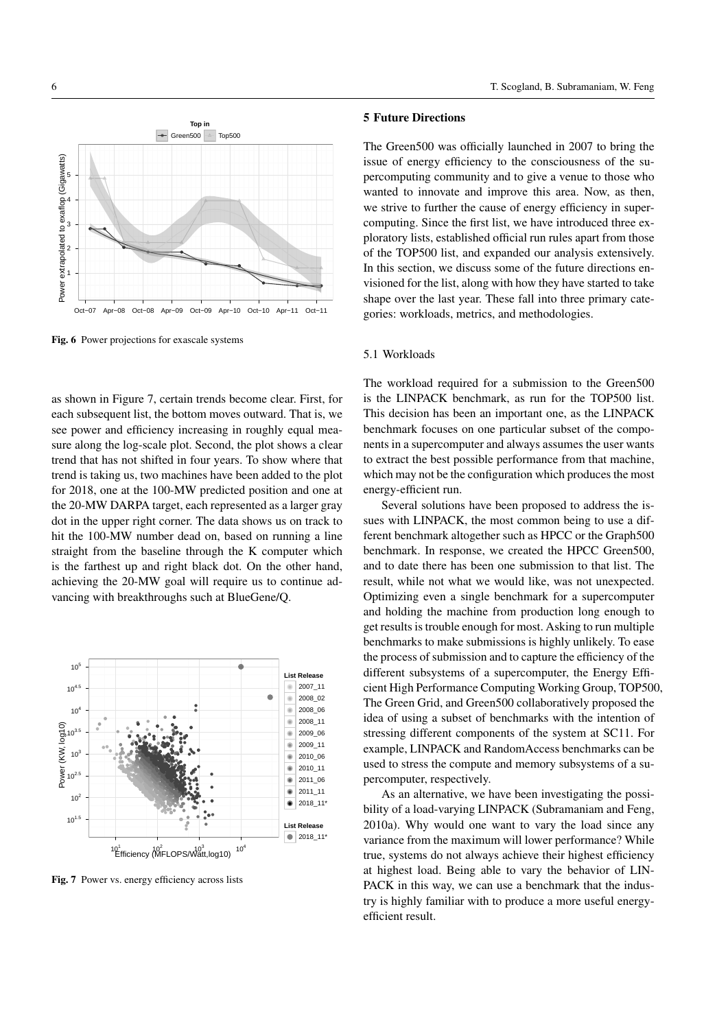

Fig. 6 Power projections for exascale systems

as shown in Figure 7, certain trends become clear. First, for each subsequent list, the bottom moves outward. That is, we see power and efficiency increasing in roughly equal measure along the log-scale plot. Second, the plot shows a clear trend that has not shifted in four years. To show where that trend is taking us, two machines have been added to the plot for 2018, one at the 100-MW predicted position and one at the 20-MW DARPA target, each represented as a larger gray dot in the upper right corner. The data shows us on track to hit the 100-MW number dead on, based on running a line straight from the baseline through the K computer which is the farthest up and right black dot. On the other hand, achieving the 20-MW goal will require us to continue advancing with breakthroughs such at BlueGene/Q.



Fig. 7 Power vs. energy efficiency across lists

# 5 Future Directions

The Green500 was officially launched in 2007 to bring the issue of energy efficiency to the consciousness of the supercomputing community and to give a venue to those who wanted to innovate and improve this area. Now, as then, we strive to further the cause of energy efficiency in supercomputing. Since the first list, we have introduced three exploratory lists, established official run rules apart from those of the TOP500 list, and expanded our analysis extensively. In this section, we discuss some of the future directions envisioned for the list, along with how they have started to take shape over the last year. These fall into three primary categories: workloads, metrics, and methodologies.

# 5.1 Workloads

The workload required for a submission to the Green500 is the LINPACK benchmark, as run for the TOP500 list. This decision has been an important one, as the LINPACK benchmark focuses on one particular subset of the components in a supercomputer and always assumes the user wants to extract the best possible performance from that machine, which may not be the configuration which produces the most energy-efficient run.

Several solutions have been proposed to address the issues with LINPACK, the most common being to use a different benchmark altogether such as HPCC or the Graph500 benchmark. In response, we created the HPCC Green500, and to date there has been one submission to that list. The result, while not what we would like, was not unexpected. Optimizing even a single benchmark for a supercomputer and holding the machine from production long enough to get results is trouble enough for most. Asking to run multiple benchmarks to make submissions is highly unlikely. To ease the process of submission and to capture the efficiency of the different subsystems of a supercomputer, the Energy Efficient High Performance Computing Working Group, TOP500, The Green Grid, and Green500 collaboratively proposed the idea of using a subset of benchmarks with the intention of stressing different components of the system at SC11. For example, LINPACK and RandomAccess benchmarks can be used to stress the compute and memory subsystems of a supercomputer, respectively.

As an alternative, we have been investigating the possibility of a load-varying LINPACK (Subramaniam and Feng, 2010a). Why would one want to vary the load since any variance from the maximum will lower performance? While true, systems do not always achieve their highest efficiency at highest load. Being able to vary the behavior of LIN-PACK in this way, we can use a benchmark that the industry is highly familiar with to produce a more useful energyefficient result.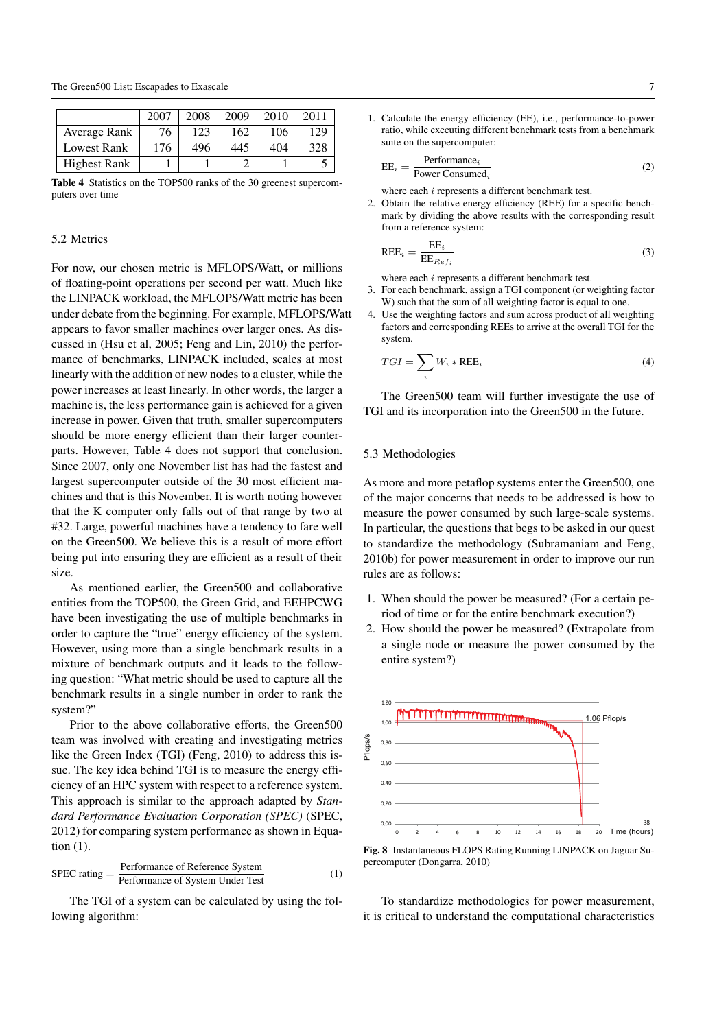|                     | 2007 | 2008 | 2009 | 2010 | 2011 |
|---------------------|------|------|------|------|------|
| Average Rank        | 76   | 123  | 162  | 106  | 129  |
| <b>Lowest Rank</b>  | 176  | 496  | 445  | 404  | 328  |
| <b>Highest Rank</b> |      |      |      |      |      |

Table 4 Statistics on the TOP500 ranks of the 30 greenest supercomputers over time

## 5.2 Metrics

For now, our chosen metric is MFLOPS/Watt, or millions of floating-point operations per second per watt. Much like the LINPACK workload, the MFLOPS/Watt metric has been under debate from the beginning. For example, MFLOPS/Watt appears to favor smaller machines over larger ones. As discussed in (Hsu et al, 2005; Feng and Lin, 2010) the performance of benchmarks, LINPACK included, scales at most linearly with the addition of new nodes to a cluster, while the power increases at least linearly. In other words, the larger a machine is, the less performance gain is achieved for a given increase in power. Given that truth, smaller supercomputers should be more energy efficient than their larger counterparts. However, Table 4 does not support that conclusion. Since 2007, only one November list has had the fastest and largest supercomputer outside of the 30 most efficient machines and that is this November. It is worth noting however that the K computer only falls out of that range by two at #32. Large, powerful machines have a tendency to fare well on the Green500. We believe this is a result of more effort being put into ensuring they are efficient as a result of their size.

As mentioned earlier, the Green500 and collaborative entities from the TOP500, the Green Grid, and EEHPCWG have been investigating the use of multiple benchmarks in order to capture the "true" energy efficiency of the system. However, using more than a single benchmark results in a mixture of benchmark outputs and it leads to the following question: "What metric should be used to capture all the benchmark results in a single number in order to rank the system?"

Prior to the above collaborative efforts, the Green500 team was involved with creating and investigating metrics like the Green Index (TGI) (Feng, 2010) to address this issue. The key idea behind TGI is to measure the energy efficiency of an HPC system with respect to a reference system. This approach is similar to the approach adapted by *Standard Performance Evaluation Corporation (SPEC)* (SPEC, 2012) for comparing system performance as shown in Equation (1).

$$
SPEC rating = \frac{Performance of Reference System}{Performance of System Under Test} \tag{1}
$$

The TGI of a system can be calculated by using the following algorithm:

1. Calculate the energy efficiency (EE), i.e., performance-to-power ratio, while executing different benchmark tests from a benchmark suite on the supercomputer:

$$
EE_i = \frac{\text{Performance}_i}{\text{Power Consumed}_i}
$$
 (2)

where each i represents a different benchmark test.

2. Obtain the relative energy efficiency (REE) for a specific benchmark by dividing the above results with the corresponding result from a reference system:

$$
REE_i = \frac{EE_i}{EE_{Ref_i}} \tag{3}
$$

where each i represents a different benchmark test.

- 3. For each benchmark, assign a TGI component (or weighting factor W) such that the sum of all weighting factor is equal to one.
- 4. Use the weighting factors and sum across product of all weighting factors and corresponding REEs to arrive at the overall TGI for the system.

$$
TGI = \sum_{i} W_i * \text{REE}_i \tag{4}
$$

The Green500 team will further investigate the use of TGI and its incorporation into the Green500 in the future.

#### 5.3 Methodologies

As more and more petaflop systems enter the Green500, one of the major concerns that needs to be addressed is how to measure the power consumed by such large-scale systems. In particular, the questions that begs to be asked in our quest to standardize the methodology (Subramaniam and Feng, 2010b) for power measurement in order to improve our run rules are as follows:

- 1. When should the power be measured? (For a certain period of time or for the entire benchmark execution?)
- 2. How should the power be measured? (Extrapolate from a single node or measure the power consumed by the entire system?)



Fig. 8 Instantaneous FLOPS Rating Running LINPACK on Jaguar Supercomputer (Dongarra, 2010)

To standardize methodologies for power measurement, it is critical to understand the computational characteristics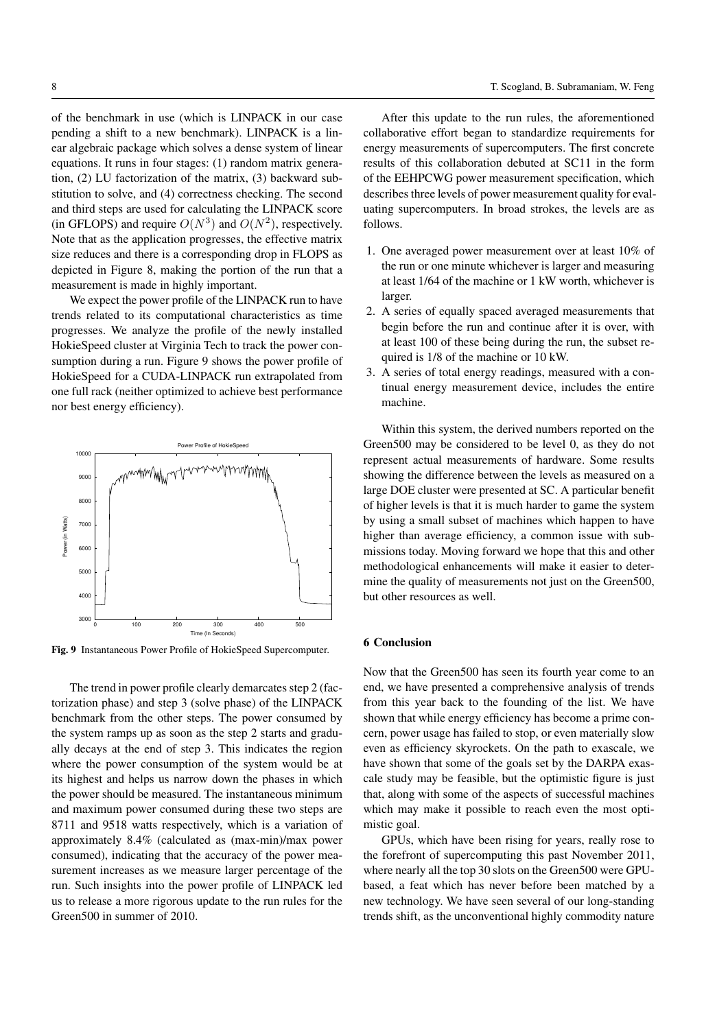of the benchmark in use (which is LINPACK in our case pending a shift to a new benchmark). LINPACK is a linear algebraic package which solves a dense system of linear equations. It runs in four stages: (1) random matrix generation, (2) LU factorization of the matrix, (3) backward substitution to solve, and (4) correctness checking. The second and third steps are used for calculating the LINPACK score (in GFLOPS) and require  $O(N^3)$  and  $O(N^2)$ , respectively. Note that as the application progresses, the effective matrix size reduces and there is a corresponding drop in FLOPS as depicted in Figure 8, making the portion of the run that a measurement is made in highly important.

We expect the power profile of the LINPACK run to have trends related to its computational characteristics as time progresses. We analyze the profile of the newly installed HokieSpeed cluster at Virginia Tech to track the power consumption during a run. Figure 9 shows the power profile of HokieSpeed for a CUDA-LINPACK run extrapolated from one full rack (neither optimized to achieve best performance nor best energy efficiency).



Fig. 9 Instantaneous Power Profile of HokieSpeed Supercomputer.

The trend in power profile clearly demarcates step 2 (factorization phase) and step 3 (solve phase) of the LINPACK benchmark from the other steps. The power consumed by the system ramps up as soon as the step 2 starts and gradually decays at the end of step 3. This indicates the region where the power consumption of the system would be at its highest and helps us narrow down the phases in which the power should be measured. The instantaneous minimum and maximum power consumed during these two steps are 8711 and 9518 watts respectively, which is a variation of approximately 8.4% (calculated as (max-min)/max power consumed), indicating that the accuracy of the power measurement increases as we measure larger percentage of the run. Such insights into the power profile of LINPACK led us to release a more rigorous update to the run rules for the Green500 in summer of 2010.

After this update to the run rules, the aforementioned collaborative effort began to standardize requirements for energy measurements of supercomputers. The first concrete results of this collaboration debuted at SC11 in the form of the EEHPCWG power measurement specification, which describes three levels of power measurement quality for evaluating supercomputers. In broad strokes, the levels are as follows.

- 1. One averaged power measurement over at least 10% of the run or one minute whichever is larger and measuring at least 1/64 of the machine or 1 kW worth, whichever is larger.
- 2. A series of equally spaced averaged measurements that begin before the run and continue after it is over, with at least 100 of these being during the run, the subset required is 1/8 of the machine or 10 kW.
- 3. A series of total energy readings, measured with a continual energy measurement device, includes the entire machine.

Within this system, the derived numbers reported on the Green500 may be considered to be level 0, as they do not represent actual measurements of hardware. Some results showing the difference between the levels as measured on a large DOE cluster were presented at SC. A particular benefit of higher levels is that it is much harder to game the system by using a small subset of machines which happen to have higher than average efficiency, a common issue with submissions today. Moving forward we hope that this and other methodological enhancements will make it easier to determine the quality of measurements not just on the Green500, but other resources as well.

# 6 Conclusion

Now that the Green500 has seen its fourth year come to an end, we have presented a comprehensive analysis of trends from this year back to the founding of the list. We have shown that while energy efficiency has become a prime concern, power usage has failed to stop, or even materially slow even as efficiency skyrockets. On the path to exascale, we have shown that some of the goals set by the DARPA exascale study may be feasible, but the optimistic figure is just that, along with some of the aspects of successful machines which may make it possible to reach even the most optimistic goal.

GPUs, which have been rising for years, really rose to the forefront of supercomputing this past November 2011, where nearly all the top 30 slots on the Green500 were GPUbased, a feat which has never before been matched by a new technology. We have seen several of our long-standing trends shift, as the unconventional highly commodity nature